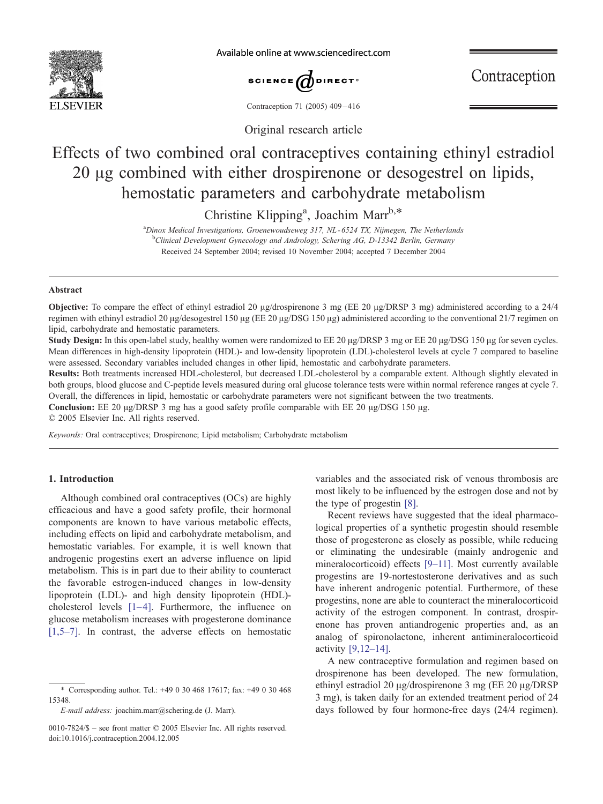

Available online at www.sciencedirect.com



Contraception

Contraception 71 (2005) 409 – 416

Original research article

# Effects of two combined oral contraceptives containing ethinyl estradiol 20  $\mu$ g combined with either drospirenone or desogestrel on lipids, hemostatic parameters and carbohydrate metabolism

Christine Klipping<sup>a</sup>, Joachim Marr<sup>b,\*</sup>

<sup>a</sup>Dinox Medical Investigations, Groenewoudseweg 317, NL-6524 TX, Nijmegen, The Netherlands <sup>b</sup>Clinical Development Gynecology and Andrology, Schering AG, D-13342 Berlin, Germany Received 24 September 2004; revised 10 November 2004; accepted 7 December 2004

# Abstract

Objective: To compare the effect of ethinyl estradiol 20  $\mu$ g/drospirenone 3 mg (EE 20  $\mu$ g/DRSP 3 mg) administered according to a 24/4 regimen with ethinyl estradiol 20  $\mu$ g/desogestrel 150  $\mu$ g (EE 20  $\mu$ g/DSG 150  $\mu$ g) administered according to the conventional 21/7 regimen on lipid, carbohydrate and hemostatic parameters.

Study Design: In this open-label study, healthy women were randomized to EE 20 µg/DRSP 3 mg or EE 20 µg/DSG 150 µg for seven cycles. Mean differences in high-density lipoprotein (HDL)- and low-density lipoprotein (LDL)-cholesterol levels at cycle 7 compared to baseline were assessed. Secondary variables included changes in other lipid, hemostatic and carbohydrate parameters.

Results: Both treatments increased HDL-cholesterol, but decreased LDL-cholesterol by a comparable extent. Although slightly elevated in both groups, blood glucose and C-peptide levels measured during oral glucose tolerance tests were within normal reference ranges at cycle 7. Overall, the differences in lipid, hemostatic or carbohydrate parameters were not significant between the two treatments.

**Conclusion:** EE 20  $\mu$ g/DRSP 3 mg has a good safety profile comparable with EE 20  $\mu$ g/DSG 150  $\mu$ g.

 $© 2005 Elsevier Inc. All rights reserved.$ 

Keywords: Oral contraceptives; Drospirenone; Lipid metabolism; Carbohydrate metabolism

# 1. Introduction

Although combined oral contraceptives (OCs) are highly efficacious and have a good safety profile, their hormonal components are known to have various metabolic effects, including effects on lipid and carbohydrate metabolism, and hemostatic variables. For example, it is well known that androgenic progestins exert an adverse influence on lipid metabolism. This is in part due to their ability to counteract the favorable estrogen-induced changes in low-density lipoprotein (LDL)- and high density lipoprotein (HDL) cholesterol levels  $[1-4]$ . Furthermore, the influence on glucose metabolism increases with progesterone dominance [\[1,5–7\].](#page-6-0) In contrast, the adverse effects on hemostatic

\* Corresponding author. Tel.: +49 0 30 468 17617; fax: +49 0 30 468 15348.

E-mail address: joachim.marr@schering.de (J. Marr).

variables and the associated risk of venous thrombosis are most likely to be influenced by the estrogen dose and not by the type of progestin [\[8\].](#page-6-0)

Recent reviews have suggested that the ideal pharmacological properties of a synthetic progestin should resemble those of progesterone as closely as possible, while reducing or eliminating the undesirable (mainly androgenic and mineralocorticoid) effects [\[9–11\].](#page-6-0) Most currently available progestins are 19-nortestosterone derivatives and as such have inherent androgenic potential. Furthermore, of these progestins, none are able to counteract the mineralocorticoid activity of the estrogen component. In contrast, drospirenone has proven antiandrogenic properties and, as an analog of spironolactone, inherent antimineralocorticoid activity [\[9,12–14\].](#page-6-0)

A new contraceptive formulation and regimen based on drospirenone has been developed. The new formulation, ethinyl estradiol 20  $\mu$ g/drospirenone 3 mg (EE 20  $\mu$ g/DRSP 3 mg), is taken daily for an extended treatment period of 24 days followed by four hormone-free days (24/4 regimen).

<sup>0010-7824/\$ –</sup> see front matter  $\odot$  2005 Elsevier Inc. All rights reserved. doi:10.1016/j.contraception.2004.12.005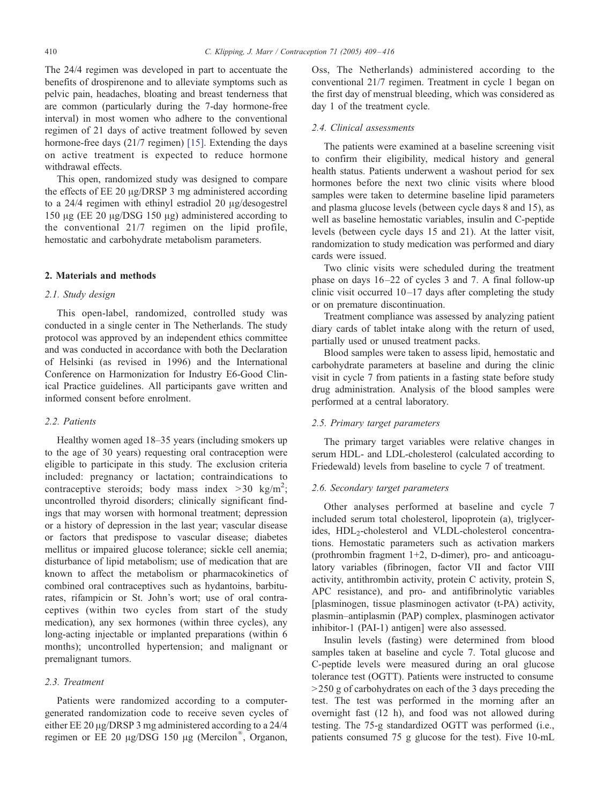The 24/4 regimen was developed in part to accentuate the benefits of drospirenone and to alleviate symptoms such as pelvic pain, headaches, bloating and breast tenderness that are common (particularly during the 7-day hormone-free interval) in most women who adhere to the conventional regimen of 21 days of active treat[ment](#page-7-0) followed by seven hormone-free days (21/7 regimen) [15]. Extending the days on active treatment is expected to reduce hormone withdrawal effects.

This open, randomized study was designed to compare the effects of  $EE$  20  $\mu$ g/DRSP 3 mg administered according to a  $24/4$  regimen with ethinyl estradiol 20  $\mu$ g/desogestrel 150  $\mu$ g (EE 20  $\mu$ g/DSG 150  $\mu$ g) administered according to the conventional 21/7 regimen on the lipid profile, hemostatic and carbohydrate metabolism parameters.

## 2. Materials and methods

# 2.1. Study design

This open-label, randomized, controlled study was conducted in a single center in The Netherlands. The study protocol was approved by an independent ethics committee and was conducted in accordance with both the Declaration of Helsinki (as revised in 1996) and the International Conference on Harmonization for Industry E6-Good Clinical Practice guidelines. All participants gave written and informed consent before enrolment.

# 2.2. Patients

Healthy women aged 18–35 years (including smokers up to the age of 30 years) requesting oral contraception were eligible to participate in this study. The exclusion criteria included: pregnancy or lactation; contraindications to contraceptive steroids; body mass index  $>30$  kg/m<sup>2</sup>; uncontrolled thyroid disorders; clinically significant findings that may worsen with hormonal treatment; depression or a history of depression in the last year; vascular disease or factors that predispose to vascular disease; diabetes mellitus or impaired glucose tolerance; sickle cell anemia; disturbance of lipid metabolism; use of medication that are known to affect the metabolism or pharmacokinetics of combined oral contraceptives such as hydantoins, barbiturates, rifampicin or St. John's wort; use of oral contraceptives (within two cycles from start of the study medication), any sex hormones (within three cycles), any long-acting injectable or implanted preparations (within 6 months); uncontrolled hypertension; and malignant or premalignant tumors.

# 2.3. Treatment

Patients were randomized according to a computergenerated randomization code to receive seven cycles of either EE 20 µg/DRSP 3 mg administered according to a 24/4 regimen or EE 20  $\mu$ g/DSG 150  $\mu$ g (Mercilon®, Organon,

Oss, The Netherlands) administered according to the conventional 21/7 regimen. Treatment in cycle 1 began on the first day of menstrual bleeding, which was considered as day 1 of the treatment cycle.

## 2.4. Clinical assessments

The patients were examined at a baseline screening visit to confirm their eligibility, medical history and general health status. Patients underwent a washout period for sex hormones before the next two clinic visits where blood samples were taken to determine baseline lipid parameters and plasma glucose levels (between cycle days 8 and 15), as well as baseline hemostatic variables, insulin and C-peptide levels (between cycle days 15 and 21). At the latter visit, randomization to study medication was performed and diary cards were issued.

Two clinic visits were scheduled during the treatment phase on days 16 –22 of cycles 3 and 7. A final follow-up clinic visit occurred  $10-17$  days after completing the study or on premature discontinuation.

Treatment compliance was assessed by analyzing patient diary cards of tablet intake along with the return of used, partially used or unused treatment packs.

Blood samples were taken to assess lipid, hemostatic and carbohydrate parameters at baseline and during the clinic visit in cycle 7 from patients in a fasting state before study drug administration. Analysis of the blood samples were performed at a central laboratory.

# 2.5. Primary target parameters

The primary target variables were relative changes in serum HDL- and LDL-cholesterol (calculated according to Friedewald) levels from baseline to cycle 7 of treatment.

## 2.6. Secondary target parameters

Other analyses performed at baseline and cycle 7 included serum total cholesterol, lipoprotein (a), triglycerides, HDL<sub>2</sub>-cholesterol and VLDL-cholesterol concentrations. Hemostatic parameters such as activation markers (prothrombin fragment  $1+2$ , D-dimer), pro- and anticoagulatory variables (fibrinogen, factor VII and factor VIII activity, antithrombin activity, protein C activity, protein S, APC resistance), and pro- and antifibrinolytic variables [plasminogen, tissue plasminogen activator (t-PA) activity, plasmin–antiplasmin (PAP) complex, plasminogen activator inhibitor-1 (PAI-1) antigen] were also assessed.

Insulin levels (fasting) were determined from blood samples taken at baseline and cycle 7. Total glucose and C-peptide levels were measured during an oral glucose tolerance test (OGTT). Patients were instructed to consume  $>$  250 g of carbohydrates on each of the 3 days preceding the test. The test was performed in the morning after an overnight fast (12 h), and food was not allowed during testing. The 75-g standardized OGTT was performed (i.e., patients consumed 75 g glucose for the test). Five 10-mL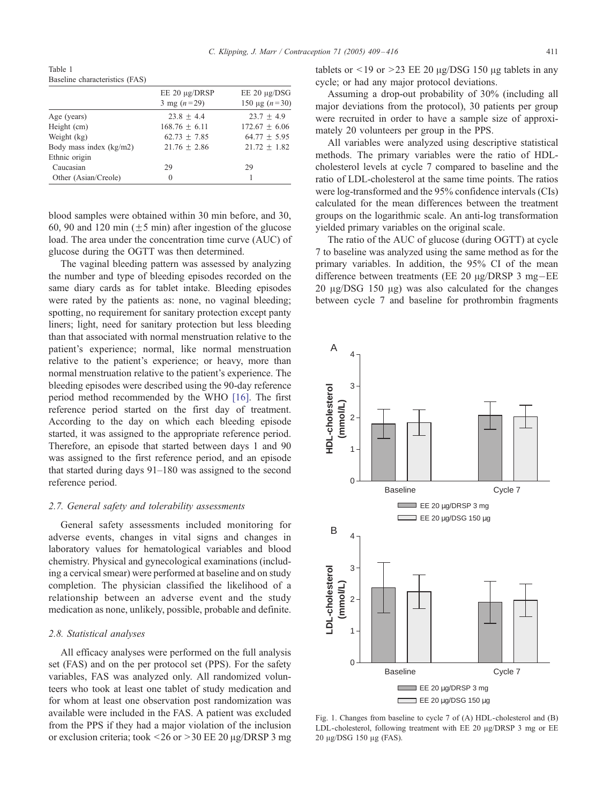<span id="page-2-0"></span>Table 1 Baseline characteristics (FAS)

|                         | $EE 20 \mu g/DRSP$<br>3 mg $(n=29)$ | $EE 20 \mu g/DSG$<br>150 µg $(n=30)$ |
|-------------------------|-------------------------------------|--------------------------------------|
| Age (years)             | $23.8 + 4.4$                        | $23.7 + 4.9$                         |
| Height (cm)             | $168.76 + 6.11$                     | $172.67 + 6.06$                      |
| Weight (kg)             | $62.73 + 7.85$                      | $64.77 + 5.95$                       |
| Body mass index (kg/m2) | $21.76 + 2.86$                      | $21.72 + 1.82$                       |
| Ethnic origin           |                                     |                                      |
| Caucasian               | 29                                  | 29                                   |
| Other (Asian/Creole)    | 0                                   |                                      |

blood samples were obtained within 30 min before, and 30, 60, 90 and 120 min ( $\pm$ 5 min) after ingestion of the glucose load. The area under the concentration time curve (AUC) of glucose during the OGTT was then determined.

The vaginal bleeding pattern was assessed by analyzing the number and type of bleeding episodes recorded on the same diary cards as for tablet intake. Bleeding episodes were rated by the patients as: none, no vaginal bleeding; spotting, no requirement for sanitary protection except panty liners; light, need for sanitary protection but less bleeding than that associated with normal menstruation relative to the patient's experience; normal, like normal menstruation relative to the patient's experience; or heavy, more than normal menstruation relative to the patient's experience. The bleeding episodes were described using the 90-day reference period method recommended by the WHO [\[16\].](#page-7-0) The first reference period started on the first day of treatment. According to the day on which each bleeding episode started, it was assigned to the appropriate reference period. Therefore, an episode that started between days 1 and 90 was assigned to the first reference period, and an episode that started during days 91–180 was assigned to the second reference period.

#### 2.7. General safety and tolerability assessments

General safety assessments included monitoring for adverse events, changes in vital signs and changes in laboratory values for hematological variables and blood chemistry. Physical and gynecological examinations (including a cervical smear) were performed at baseline and on study completion. The physician classified the likelihood of a relationship between an adverse event and the study medication as none, unlikely, possible, probable and definite.

## 2.8. Statistical analyses

All efficacy analyses were performed on the full analysis set (FAS) and on the per protocol set (PPS). For the safety variables, FAS was analyzed only. All randomized volunteers who took at least one tablet of study medication and for whom at least one observation post randomization was available were included in the FAS. A patient was excluded from the PPS if they had a major violation of the inclusion or exclusion criteria; took  $\leq$ 26 or  $>$ 30 EE 20  $\mu$ g/DRSP 3 mg tablets or  $\leq$  19 or  $\geq$  23 EE 20  $\mu$ g/DSG 150  $\mu$ g tablets in any cycle; or had any major protocol deviations.

Assuming a drop-out probability of 30% (including all major deviations from the protocol), 30 patients per group were recruited in order to have a sample size of approximately 20 volunteers per group in the PPS.

All variables were analyzed using descriptive statistical methods. The primary variables were the ratio of HDLcholesterol levels at cycle 7 compared to baseline and the ratio of LDL-cholesterol at the same time points. The ratios were log-transformed and the 95% confidence intervals (CIs) calculated for the mean differences between the treatment groups on the logarithmic scale. An anti-log transformation yielded primary variables on the original scale.

The ratio of the AUC of glucose (during OGTT) at cycle 7 to baseline was analyzed using the same method as for the primary variables. In addition, the 95% CI of the mean difference between treatments (EE 20  $\mu$ g/DRSP 3 mg-EE  $20 \mu g/DSG$  150  $\mu g$ ) was also calculated for the changes between cycle 7 and baseline for prothrombin fragments



Fig. 1. Changes from baseline to cycle 7 of (A) HDL-cholesterol and (B) LDL-cholesterol, following treatment with EE 20  $\mu$ g/DRSP 3 mg or EE  $20 \mu g / DSG$  150 μg (FAS).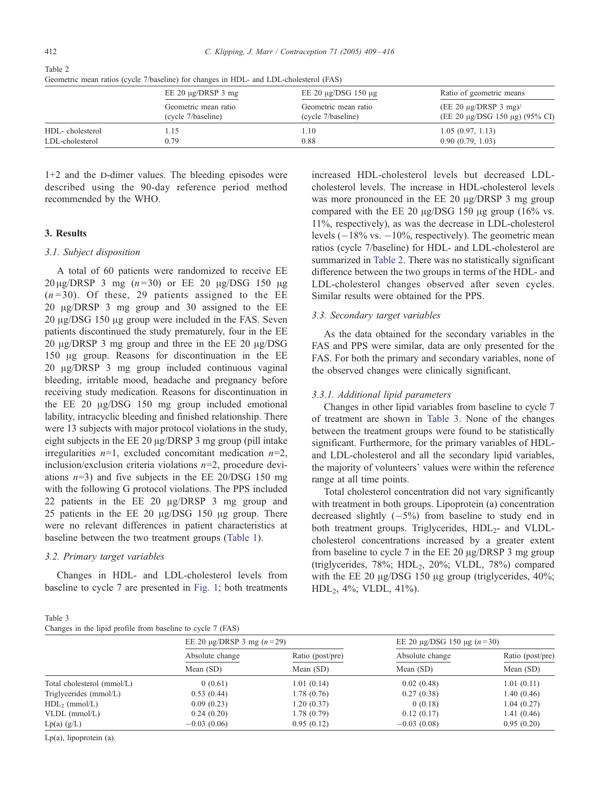Table 2 Geometric mean ratios (cycle 7/baseline) for changes in HDL- and LDL-cholesterol (FAS)

|                 | EE 20 $\mu$ g/DRSP 3 mg | EE 20 $\mu$ g/DSG 150 $\mu$ g | Ratio of geometric means                 |
|-----------------|-------------------------|-------------------------------|------------------------------------------|
|                 | Geometric mean ratio    | Geometric mean ratio          | $(EE 20 \mu g/DRSP 3 mg)$                |
|                 | (cycle 7/baseline)      | (cycle 7/baseline)            | (EE 20 $\mu$ g/DSG 150 $\mu$ g) (95% CI) |
| HDL-cholesterol | . . 15                  | 1.10                          | 1.05(0.97, 1.13)                         |
| LDL-cholesterol | 0.79                    | 0.88                          | 0.90(0.79, 1.03)                         |

 $1+2$  and the D-dimer values. The bleeding episodes were described using the 90-day reference period method recommended by the WHO.

# 3. Results

# 3.1. Subject disposition

A total of 60 patients were randomized to receive EE  $20 \mu g / DRSP$  3 mg (n=30) or EE 20  $\mu g / DSG$  150  $\mu g$  $(n=30)$ . Of these, 29 patients assigned to the EE 20 Ag/DRSP 3 mg group and 30 assigned to the EE  $20 \mu$ g/DSG 150  $\mu$ g group were included in the FAS. Seven patients discontinued the study prematurely, four in the EE 20 µg/DRSP 3 mg group and three in the EE 20 µg/DSG 150  $\mu$ g group. Reasons for discontinuation in the EE 20 Ag/DRSP 3 mg group included continuous vaginal bleeding, irritable mood, headache and pregnancy before receiving study medication. Reasons for discontinuation in the EE 20  $\mu$ g/DSG 150 mg group included emotional lability, intracyclic bleeding and finished relationship. There were 13 subjects with major protocol violations in the study, eight subjects in the EE 20  $\mu$ g/DRSP 3 mg group (pill intake irregularities  $n=1$ , excluded concomitant medication  $n=2$ , inclusion/exclusion criteria violations  $n=2$ , procedure deviations  $n=3$ ) and five subjects in the EE 20/DSG 150 mg with the following G protocol violations. The PPS included 22 patients in the EE 20 µg/DRSP 3 mg group and 25 patients in the EE 20  $\mu$ g/DSG 150  $\mu$ g group. There were no relevant differences in patient characteristics at baseline between the two treatment groups ([Table](#page-2-0) [1\)](#page-2-0).

## 3.2. Primary target variables

Changes in HDL- and LDL-cholesterol levels from baseline to cycle 7 are presented in [Fig.](#page-2-0) [1;](#page-2-0) both treatments

Table 3 Changes in the lipid profile from baseline to cycle 7 (FAS)

increased HDL-cholesterol levels but decreased LDLcholesterol levels. The increase in HDL-cholesterol levels was more pronounced in the  $EE$  20  $\mu$ g/DRSP 3 mg group compared with the EE 20  $\mu$ g/DSG 150  $\mu$ g group (16% vs. 11%, respectively), as was the decrease in LDL-cholesterol levels  $(-18\% \text{ vs. } -10\%$ , respectively). The geometric mean ratios (cycle 7/baseline) for HDL- and LDL-cholesterol are summarized in Table 2. There was no statistically significant difference between the two groups in terms of the HDL- and LDL-cholesterol changes observed after seven cycles. Similar results were obtained for the PPS.

#### 3.3. Secondary target variables

As the data obtained for the secondary variables in the FAS and PPS were similar, data are only presented for the FAS. For both the primary and secondary variables, none of the observed changes were clinically significant.

# 3.3.1. Additional lipid parameters

Changes in other lipid variables from baseline to cycle 7 of treatment are shown in Table 3. None of the changes between the treatment groups were found to be statistically significant. Furthermore, for the primary variables of HDLand LDL-cholesterol and all the secondary lipid variables, the majority of volunteers' values were within the reference range at all time points.

Total cholesterol concentration did not vary significantly with treatment in both groups. Lipoprotein (a) concentration decreased slightly  $(-5%)$  from baseline to study end in both treatment groups. Triglycerides, HDL<sub>2</sub>- and VLDLcholesterol concentrations increased by a greater extent from baseline to cycle 7 in the EE 20  $\mu$ g/DRSP 3 mg group (triglycerides, 78%; HDL2, 20%; VLDL, 78%) compared with the EE 20  $\mu$ g/DSG 150  $\mu$ g group (triglycerides, 40%;  $HDL<sub>2</sub>$ , 4%; VLDL, 41%).

|                            | EE 20 $\mu$ g/DRSP 3 mg ( <i>n</i> = 29) |                               | EE 20 $\mu$ g/DSG 150 $\mu$ g ( <i>n</i> =30) |                               |
|----------------------------|------------------------------------------|-------------------------------|-----------------------------------------------|-------------------------------|
|                            | Absolute change<br>Mean (SD)             | Ratio (post/pre)<br>Mean (SD) | Absolute change<br>Mean (SD)                  | Ratio (post/pre)<br>Mean (SD) |
|                            |                                          |                               |                                               |                               |
| Total cholesterol (mmol/L) | 0(0.61)                                  | 1.01(0.14)                    | 0.02(0.48)                                    | 1.01(0.11)                    |
| Triglycerides (mmol/L)     | 0.53(0.44)                               | 1.78(0.76)                    | 0.27(0.38)                                    | 1.40(0.46)                    |
| $HDL2$ (mmol/L)            | 0.09(0.23)                               | 1.20(0.37)                    | 0(0.18)                                       | 1.04(0.27)                    |
| $VLDL$ (mmol/L)            | 0.24(0.20)                               | 1.78(0.79)                    | 0.12(0.17)                                    | 1.41(0.46)                    |
| $Lp(a)$ (g/L)              | $-0.03(0.06)$                            | 0.95(0.12)                    | $-0.03(0.08)$                                 | 0.95(0.20)                    |

Lp(a), lipoprotein (a).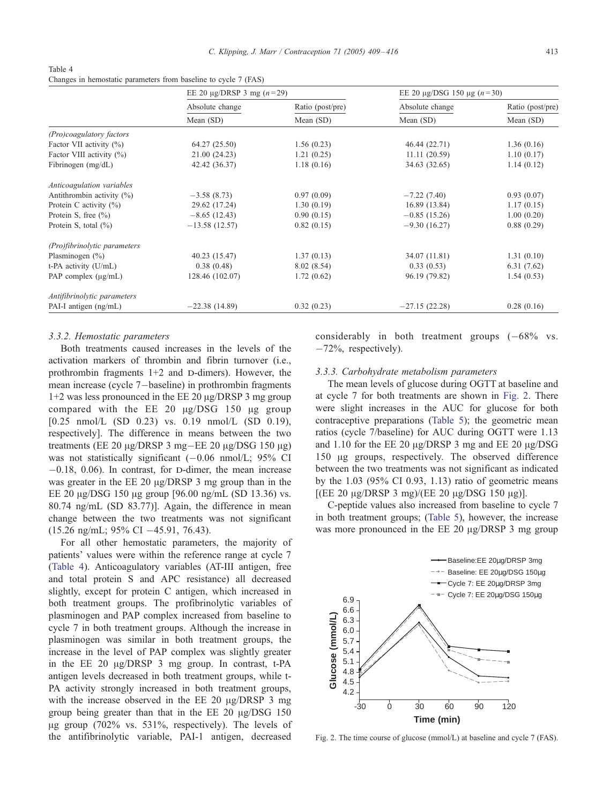Table 4 Changes in hemostatic parameters from baseline to cycle 7 (FAS)

|                              | EE 20 $\mu$ g/DRSP 3 mg ( <i>n</i> = 29) |                               | EE 20 $\mu$ g/DSG 150 $\mu$ g ( <i>n</i> =30) |                               |
|------------------------------|------------------------------------------|-------------------------------|-----------------------------------------------|-------------------------------|
|                              | Absolute change<br>Mean $(SD)$           | Ratio (post/pre)<br>Mean (SD) | Absolute change<br>Mean $(SD)$                | Ratio (post/pre)<br>Mean (SD) |
|                              |                                          |                               |                                               |                               |
| (Pro)coagulatory factors     |                                          |                               |                                               |                               |
| Factor VII activity (%)      | 64.27 (25.50)                            | 1.56(0.23)                    | 46.44 (22.71)                                 | 1.36(0.16)                    |
| Factor VIII activity (%)     | 21.00 (24.23)                            | 1.21(0.25)                    | 11.11(20.59)                                  | 1.10(0.17)                    |
| Fibrinogen $(mg/dL)$         | 42.42 (36.37)                            | 1.18(0.16)                    | 34.63 (32.65)                                 | 1.14(0.12)                    |
| Anticoagulation variables    |                                          |                               |                                               |                               |
| Antithrombin activity $(\%)$ | $-3.58(8.73)$                            | 0.97(0.09)                    | $-7.22(7.40)$                                 | 0.93(0.07)                    |
| Protein C activity $(\% )$   | 29.62 (17.24)                            | 1.30(0.19)                    | 16.89 (13.84)                                 | 1.17(0.15)                    |
| Protein S, free $(\% )$      | $-8.65(12.43)$                           | 0.90(0.15)                    | $-0.85(15.26)$                                | 1.00(0.20)                    |
| Protein S, total $(\%)$      | $-13.58(12.57)$                          | 0.82(0.15)                    | $-9.30(16.27)$                                | 0.88(0.29)                    |
| (Pro)fibrinolytic parameters |                                          |                               |                                               |                               |
| Plasminogen $(\% )$          | 40.23(15.47)                             | 1.37(0.13)                    | 34.07 (11.81)                                 | 1.31(0.10)                    |
| t-PA activity (U/mL)         | 0.38(0.48)                               | 8.02 (8.54)                   | 0.33(0.53)                                    | 6.31(7.62)                    |
| PAP complex $(\mu g/mL)$     | 128.46 (102.07)                          | 1.72(0.62)                    | 96.19 (79.82)                                 | 1.54(0.53)                    |
| Antifibrinolytic parameters  |                                          |                               |                                               |                               |
| PAI-I antigen (ng/mL)        | $-22.38(14.89)$                          | 0.32(0.23)                    | $-27.15(22.28)$                               | 0.28(0.16)                    |

#### 3.3.2. Hemostatic parameters

Both treatments caused increases in the levels of the activation markers of thrombin and fibrin turnover (i.e., prothrombin fragments  $1+2$  and D-dimers). However, the mean increase (cycle 7-baseline) in prothrombin fragments  $1+2$  was less pronounced in the EE 20  $\mu$ g/DRSP 3 mg group compared with the EE 20  $\mu$ g/DSG 150  $\mu$ g group [0.25 nmol/L (SD 0.23) vs. 0.19 nmol/L (SD 0.19), respectively]. The difference in means between the two treatments (EE 20  $\mu$ g/DRSP 3 mg-EE 20  $\mu$ g/DSG 150  $\mu$ g) was not statistically significant  $(-0.06 \text{ nmol/L}; 95\% \text{ CI})$  $-0.18$ , 0.06). In contrast, for D-dimer, the mean increase was greater in the  $EE$  20  $\mu$ g/DRSP 3 mg group than in the EE 20  $\mu$ g/DSG 150  $\mu$ g group [96.00 ng/mL (SD 13.36) vs. 80.74 ng/mL (SD 83.77)]. Again, the difference in mean change between the two treatments was not significant (15.26 ng/mL; 95% CI -45.91, 76.43).

For all other hemostatic parameters, the majority of patients' values were within the reference range at cycle 7 (Table 4). Anticoagulatory variables (AT-III antigen, free and total protein S and APC resistance) all decreased slightly, except for protein C antigen, which increased in both treatment groups. The profibrinolytic variables of plasminogen and PAP complex increased from baseline to cycle 7 in both treatment groups. Although the increase in plasminogen was similar in both treatment groups, the increase in the level of PAP complex was slightly greater in the EE 20  $\mu$ g/DRSP 3 mg group. In contrast, t-PA antigen levels decreased in both treatment groups, while t-PA activity strongly increased in both treatment groups, with the increase observed in the EE 20  $\mu$ g/DRSP 3 mg group being greater than that in the EE 20  $\mu$ g/DSG 150  $\mu$ g group (702% vs. 531%, respectively). The levels of the antifibrinolytic variable, PAI-1 antigen, decreased considerably in both treatment groups  $(-68\% \text{ vs.}$  $-72\%$ , respectively).

#### 3.3.3. Carbohydrate metabolism parameters

The mean levels of glucose during OGTT at baseline and at cycle 7 for both treatments are shown in Fig. 2. There were slight increases in the AUC for glucose for both contraceptive preparations ([Table](#page-5-0) [5\)](#page-5-0); the geometric mean ratios (cycle 7/baseline) for AUC during OGTT were 1.13 and 1.10 for the EE 20  $\mu$ g/DRSP 3 mg and EE 20  $\mu$ g/DSG 150  $\mu$ g groups, respectively. The observed difference between the two treatments was not significant as indicated by the 1.03 (95% CI 0.93, 1.13) ratio of geometric means  $[(EE 20 \mu g/DRSP 3 mg)/(EE 20 \mu g/DSG 150 \mu g)].$ 

C-peptide values also increased from baseline to cycle 7 in both treatment groups; ([Table](#page-5-0) [5\)](#page-5-0), however, the increase was more pronounced in the  $EE$  20  $\mu$ g/DRSP 3 mg group



Fig. 2. The time course of glucose (mmol/L) at baseline and cycle 7 (FAS).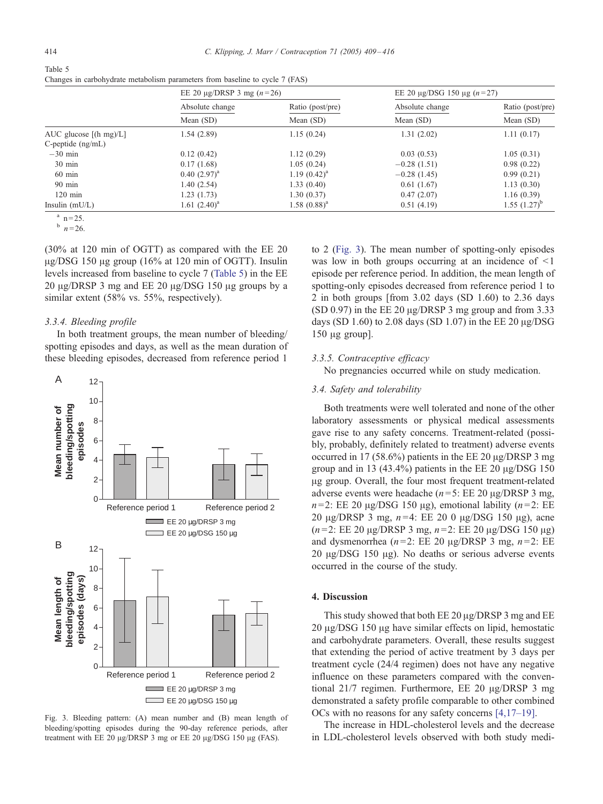<span id="page-5-0"></span>

| Table 5                                                                      |  |
|------------------------------------------------------------------------------|--|
| Changes in carbohydrate metabolism parameters from baseline to cycle 7 (FAS) |  |

|                             | EE 20 $\mu$ g/DRSP 3 mg ( <i>n</i> =26) |                               | EE 20 $\mu$ g/DSG 150 $\mu$ g (n=27) |                               |
|-----------------------------|-----------------------------------------|-------------------------------|--------------------------------------|-------------------------------|
|                             | Absolute change<br>Mean (SD)            | Ratio (post/pre)<br>Mean (SD) | Absolute change<br>Mean $(SD)$       | Ratio (post/pre)<br>Mean (SD) |
|                             |                                         |                               |                                      |                               |
| AUC glucose $[(h \, mg)/L]$ | 1.54(2.89)                              | 1.15(0.24)                    | 1.31(2.02)                           | 1.11(0.17)                    |
| $C$ -peptide $(ng/mL)$      |                                         |                               |                                      |                               |
| $-30$ min                   | 0.12(0.42)                              | 1.12(0.29)                    | 0.03(0.53)                           | 1.05(0.31)                    |
| $30 \text{ min}$            | 0.17(1.68)                              | 1.05(0.24)                    | $-0.28(1.51)$                        | 0.98(0.22)                    |
| $60$ min                    | $0.40~(2.97)^{a}$                       | $1.19(0.42)^a$                | $-0.28(1.45)$                        | 0.99(0.21)                    |
| $90 \text{ min}$            | 1.40(2.54)                              | 1.33(0.40)                    | 0.61(1.67)                           | 1.13(0.30)                    |
| $120 \text{ min}$           | 1.23(1.73)                              | 1.30(0.37)                    | 0.47(2.07)                           | 1.16(0.39)                    |
| Insulin $(mU/L)$            | 1.61 $(2.40)^a$                         | $1.58~(0.88)^{a}$             | 0.51(4.19)                           | $1.55$ $(1.27)^{b}$           |

 $n = 25.$ <br>b  $n = 26.$ 

(30% at 120 min of OGTT) as compared with the EE 20  $\mu$ g/DSG 150  $\mu$ g group (16% at 120 min of OGTT). Insulin levels increased from baseline to cycle 7 (Table 5) in the EE  $20 \mu$ g/DRSP 3 mg and EE 20  $\mu$ g/DSG 150  $\mu$ g groups by a similar extent (58% vs. 55%, respectively).

#### 3.3.4. Bleeding profile

In both treatment groups, the mean number of bleeding/ spotting episodes and days, as well as the mean duration of these bleeding episodes, decreased from reference period 1



Fig. 3. Bleeding pattern: (A) mean number and (B) mean length of bleeding/spotting episodes during the 90-day reference periods, after treatment with EE 20 μg/DRSP 3 mg or EE 20 μg/DSG 150 μg (FAS).

to 2 (Fig. 3). The mean number of spotting-only episodes was low in both groups occurring at an incidence of  $\leq 1$ episode per reference period. In addition, the mean length of spotting-only episodes decreased from reference period 1 to 2 in both groups [from 3.02 days (SD 1.60) to 2.36 days (SD 0.97) in the EE 20  $\mu$ g/DRSP 3 mg group and from 3.33 days (SD 1.60) to 2.08 days (SD 1.07) in the EE 20  $\mu$ g/DSG  $150 \mu$ g group].

#### 3.3.5. Contraceptive efficacy

No pregnancies occurred while on study medication.

# 3.4. Safety and tolerability

Both treatments were well tolerated and none of the other laboratory assessments or physical medical assessments gave rise to any safety concerns. Treatment-related (possibly, probably, definitely related to treatment) adverse events occurred in 17 (58.6%) patients in the EE 20  $\mu$ g/DRSP 3 mg group and in 13 (43.4%) patients in the EE 20  $\mu$ g/DSG 150 Ag group. Overall, the four most frequent treatment-related adverse events were headache ( $n=5$ : EE 20  $\mu$ g/DRSP 3 mg,  $n=2$ : EE 20  $\mu$ g/DSG 150  $\mu$ g), emotional lability (n=2: EE 20 μg/DRSP 3 mg,  $n=4$ : EE 20 0 μg/DSG 150 μg), acne  $(n=2: EE 20 \mu g/DRSP 3 mg, n=2: EE 20 \mu g/DSG 150 \mu g)$ and dysmenorrhea ( $n=2$ : EE 20  $\mu$ g/DRSP 3 mg,  $n=2$ : EE  $20 \mu$ g/DSG 150  $\mu$ g). No deaths or serious adverse events occurred in the course of the study.

# 4. Discussion

This study showed that both  $EE 20 \mu g / DRSP 3$  mg and  $EE$ 20 μg/DSG 150 μg have similar effects on lipid, hemostatic and carbohydrate parameters. Overall, these results suggest that extending the period of active treatment by 3 days per treatment cycle (24/4 regimen) does not have any negative influence on these parameters compared with the conventional  $21/7$  regimen. Furthermore, EE 20  $\mu$ g/DRSP 3 mg demonstrated a safety profile comparable to other combined OCs with no reasons for any safety concerns [\[4,17–19\].](#page-6-0)

The increase in HDL-cholesterol levels and the decrease in LDL-cholesterol levels observed with both study medi-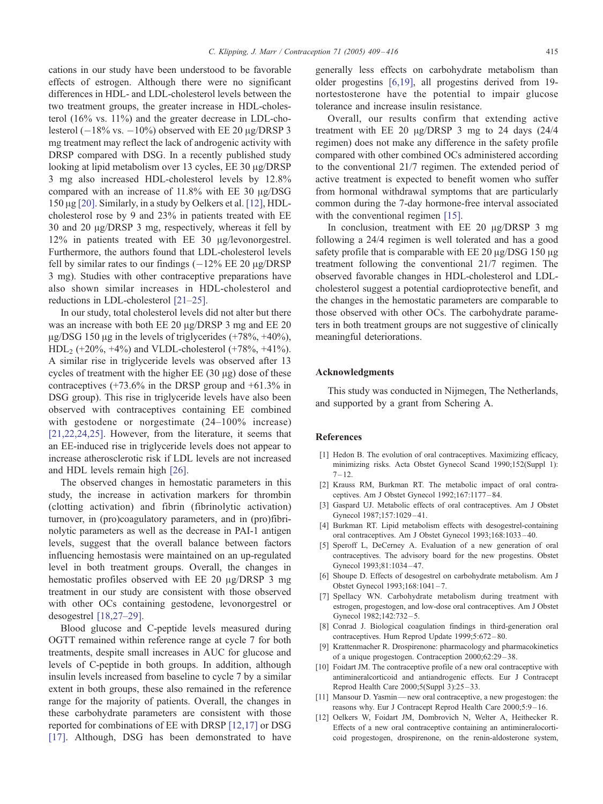<span id="page-6-0"></span>cations in our study have been understood to be favorable effects of estrogen. Although there were no significant differences in HDL- and LDL-cholesterol levels between the two treatment groups, the greater increase in HDL-cholesterol (16% vs. 11%) and the greater decrease in LDL-cholesterol  $(-18\% \text{ vs. } -10\%)$  observed with EE 20  $\mu$ g/DRSP 3 mg treatment may reflect the lack of androgenic activity with DRSP compared with DSG. In a recently published study looking at lipid metabolism over 13 cycles,  $EE$  30  $\mu$ g/DRSP 3 mg also increased HDL-cholesterol levels by 12.8% compa[red w](#page-7-0)ith an increase of  $11.8\%$  with EE 30  $\mu$ g/DSG 150 Ag [20]. Similarly, in a study by Oelkers et al. [12], HDLcholesterol rose by 9 and 23% in patients treated with EE 30 and 20  $\mu$ g/DRSP 3 mg, respectively, whereas it fell by 12% in patients treated with EE 30 µg/levonorgestrel. Furthermore, the authors found that LDL-cholesterol levels fell by similar rates to our findings  $(-12\% \text{ EE } 20 \text{ µg}/\text{DRSP})$ 3 mg). Studies with other contraceptive preparations have also shown similar increases in HDL-cholesterol and reductions in LDL-cholesterol [\[21–25\].](#page-7-0)

In our study, total cholesterol levels did not alter but there was an increase with both  $EE 20 \mu g/DRSP 3 mg$  and  $EE 20$  $\mu$ g/DSG 150  $\mu$ g in the levels of triglycerides (+78%, +40%),  $HDL<sub>2</sub>$  (+20%, +4%) and VLDL-cholesterol (+78%, +41%). A similar rise in triglyceride levels was observed after 13 cycles of treatment with the higher EE  $(30 \mu g)$  dose of these contraceptives  $(+73.6\%$  in the DRSP group and  $+61.3\%$  in DSG group). This rise in triglyceride levels have also been observed with contraceptives containing EE combined with gestodene or norgestimate (24–100% increase) [\[21,22,24,25\].](#page-7-0) However, from the literature, it seems that an EE-induced rise in triglyceride levels does not appear to increase atherosclerotic risk if LDL levels are not increased and HDL levels remain high [\[26\].](#page-7-0)

The observed changes in hemostatic parameters in this study, the increase in activation markers for thrombin (clotting activation) and fibrin (fibrinolytic activation) turnover, in (pro)coagulatory parameters, and in (pro)fibrinolytic parameters as well as the decrease in PAI-1 antigen levels, suggest that the overall balance between factors influencing hemostasis were maintained on an up-regulated level in both treatment groups. Overall, the changes in hemostatic profiles observed with EE 20 µg/DRSP 3 mg treatment in our study are consistent with those observed with other OCs containing gestodene, levonorgestrel or desogestrel [\[18,27–29\].](#page-7-0)

Blood glucose and C-peptide levels measured during OGTT remained within reference range at cycle 7 for both treatments, despite small increases in AUC for glucose and levels of C-peptide in both groups. In addition, although insulin levels increased from baseline to cycle 7 by a similar extent in both groups, these also remained in the reference range for the majority of patients. Overall, the changes in these carbohydrate parameters are consistent with those reported for combinations of EE with DRSP [12,17] or DSG [\[17\].](#page-7-0) Although, DSG has been demonstrated to have generally less effects on carbohydrate metabolism than older progestins [6,19], all progestins derived from 19 nortestosterone have the potential to impair glucose tolerance and increase insulin resistance.

Overall, our results confirm that extending active treatment with EE 20  $\mu$ g/DRSP 3 mg to 24 days (24/4) regimen) does not make any difference in the safety profile compared with other combined OCs administered according to the conventional 21/7 regimen. The extended period of active treatment is expected to benefit women who suffer from hormonal withdrawal symptoms that are particularly common during the 7-day hormone-free interval associated with the conventional regimen [\[15\].](#page-7-0)

In conclusion, treatment with EE 20  $\mu$ g/DRSP 3 mg following a 24/4 regimen is well tolerated and has a good safety profile that is comparable with  $EE 20 \mu g/DSG 150 \mu g$ treatment following the conventional 21/7 regimen. The observed favorable changes in HDL-cholesterol and LDLcholesterol suggest a potential cardioprotective benefit, and the changes in the hemostatic parameters are comparable to those observed with other OCs. The carbohydrate parameters in both treatment groups are not suggestive of clinically meaningful deteriorations.

### Acknowledgments

This study was conducted in Nijmegen, The Netherlands, and supported by a grant from Schering A.

## References

- [1] Hedon B. The evolution of oral contraceptives. Maximizing efficacy, minimizing risks. Acta Obstet Gynecol Scand 1990;152(Suppl 1):  $7 - 12.$
- [2] Krauss RM, Burkman RT. The metabolic impact of oral contraceptives. Am J Obstet Gynecol 1992;167:1177 – 84.
- [3] Gaspard UJ. Metabolic effects of oral contraceptives. Am J Obstet Gynecol 1987;157:1029 – 41.
- [4] Burkman RT. Lipid metabolism effects with desogestrel-containing oral contraceptives. Am J Obstet Gynecol 1993;168:1033 – 40.
- [5] Speroff L, DeCerney A. Evaluation of a new generation of oral contraceptives. The advisory board for the new progestins. Obstet Gynecol 1993;81:1034 – 47.
- [6] Shoupe D. Effects of desogestrel on carbohydrate metabolism. Am J Obstet Gynecol 1993;168:1041 – 7.
- [7] Spellacy WN. Carbohydrate metabolism during treatment with estrogen, progestogen, and low-dose oral contraceptives. Am J Obstet Gynecol 1982;142:732-5.
- [8] Conrad J. Biological coagulation findings in third-generation oral contraceptives. Hum Reprod Update 1999;5:672 – 80.
- [9] Krattenmacher R. Drospirenone: pharmacology and pharmacokinetics of a unique progestogen. Contraception 2000;62:29 – 38.
- [10] Foidart JM. The contraceptive profile of a new oral contraceptive with antimineralcorticoid and antiandrogenic effects. Eur J Contracept Reprod Health Care 2000;5(Suppl 3):25 – 33.
- [11] Mansour D. Yasmin—new oral contraceptive, a new progestogen: the reasons why. Eur J Contracept Reprod Health Care 2000;5:9 – 16.
- [12] Oelkers W, Foidart JM, Dombrovich N, Welter A, Heithecker R. Effects of a new oral contraceptive containing an antimineralocorticoid progestogen, drospirenone, on the renin-aldosterone system,